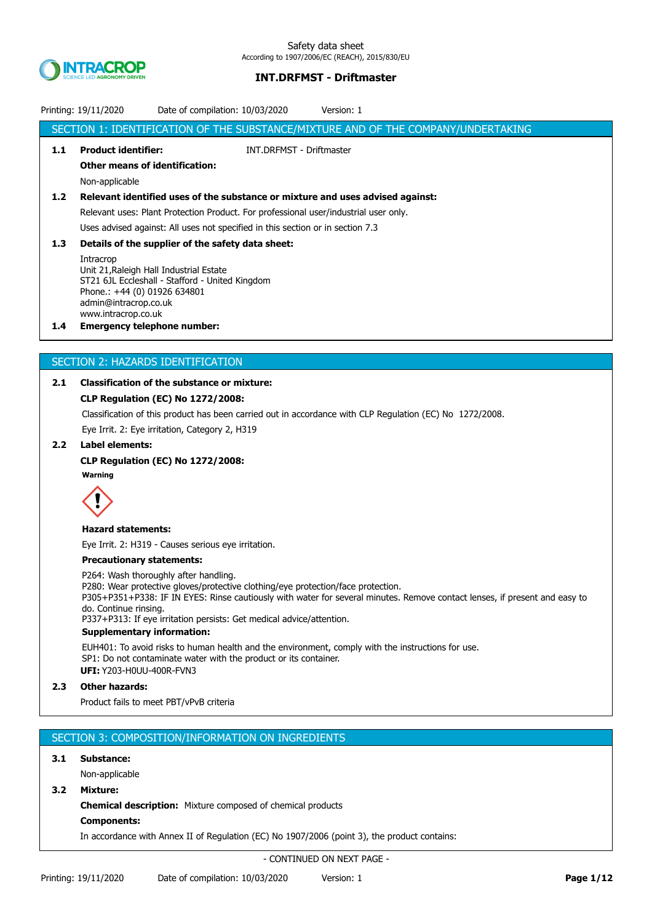

| SECTION 1: IDENTIFICATION OF THE SUBSTANCE/MIXTURE AND OF THE COMPANY/UNDERTAKING<br><b>Product identifier:</b><br>1.1<br><b>INT.DRFMST - Driftmaster</b><br><b>Other means of identification:</b><br>Non-applicable<br>1.2<br>Relevant identified uses of the substance or mixture and uses advised against:<br>Relevant uses: Plant Protection Product. For professional user/industrial user only.<br>Uses advised against: All uses not specified in this section or in section 7.3<br>1.3<br>Details of the supplier of the safety data sheet:<br>Intracrop<br>Unit 21, Raleigh Hall Industrial Estate<br>ST21 6JL Eccleshall - Stafford - United Kingdom<br>Phone.: +44 (0) 01926 634801<br>admin@intracrop.co.uk<br>www.intracrop.co.uk<br><b>Emergency telephone number:</b><br>$1.4^{\circ}$ |  |
|-------------------------------------------------------------------------------------------------------------------------------------------------------------------------------------------------------------------------------------------------------------------------------------------------------------------------------------------------------------------------------------------------------------------------------------------------------------------------------------------------------------------------------------------------------------------------------------------------------------------------------------------------------------------------------------------------------------------------------------------------------------------------------------------------------|--|
|                                                                                                                                                                                                                                                                                                                                                                                                                                                                                                                                                                                                                                                                                                                                                                                                       |  |
|                                                                                                                                                                                                                                                                                                                                                                                                                                                                                                                                                                                                                                                                                                                                                                                                       |  |
|                                                                                                                                                                                                                                                                                                                                                                                                                                                                                                                                                                                                                                                                                                                                                                                                       |  |
|                                                                                                                                                                                                                                                                                                                                                                                                                                                                                                                                                                                                                                                                                                                                                                                                       |  |
|                                                                                                                                                                                                                                                                                                                                                                                                                                                                                                                                                                                                                                                                                                                                                                                                       |  |
|                                                                                                                                                                                                                                                                                                                                                                                                                                                                                                                                                                                                                                                                                                                                                                                                       |  |
|                                                                                                                                                                                                                                                                                                                                                                                                                                                                                                                                                                                                                                                                                                                                                                                                       |  |
|                                                                                                                                                                                                                                                                                                                                                                                                                                                                                                                                                                                                                                                                                                                                                                                                       |  |
|                                                                                                                                                                                                                                                                                                                                                                                                                                                                                                                                                                                                                                                                                                                                                                                                       |  |
|                                                                                                                                                                                                                                                                                                                                                                                                                                                                                                                                                                                                                                                                                                                                                                                                       |  |
|                                                                                                                                                                                                                                                                                                                                                                                                                                                                                                                                                                                                                                                                                                                                                                                                       |  |
|                                                                                                                                                                                                                                                                                                                                                                                                                                                                                                                                                                                                                                                                                                                                                                                                       |  |
|                                                                                                                                                                                                                                                                                                                                                                                                                                                                                                                                                                                                                                                                                                                                                                                                       |  |
|                                                                                                                                                                                                                                                                                                                                                                                                                                                                                                                                                                                                                                                                                                                                                                                                       |  |
| SECTION 2: HAZARDS IDENTIFICATION                                                                                                                                                                                                                                                                                                                                                                                                                                                                                                                                                                                                                                                                                                                                                                     |  |
| <b>Classification of the substance or mixture:</b><br>2.1                                                                                                                                                                                                                                                                                                                                                                                                                                                                                                                                                                                                                                                                                                                                             |  |
| <b>CLP Regulation (EC) No 1272/2008:</b>                                                                                                                                                                                                                                                                                                                                                                                                                                                                                                                                                                                                                                                                                                                                                              |  |
| Classification of this product has been carried out in accordance with CLP Regulation (EC) No 1272/2008.                                                                                                                                                                                                                                                                                                                                                                                                                                                                                                                                                                                                                                                                                              |  |
| Eye Irrit. 2: Eye irritation, Category 2, H319                                                                                                                                                                                                                                                                                                                                                                                                                                                                                                                                                                                                                                                                                                                                                        |  |
| 2.2<br>Label elements:                                                                                                                                                                                                                                                                                                                                                                                                                                                                                                                                                                                                                                                                                                                                                                                |  |
| <b>CLP Regulation (EC) No 1272/2008:</b>                                                                                                                                                                                                                                                                                                                                                                                                                                                                                                                                                                                                                                                                                                                                                              |  |
| Warning                                                                                                                                                                                                                                                                                                                                                                                                                                                                                                                                                                                                                                                                                                                                                                                               |  |
|                                                                                                                                                                                                                                                                                                                                                                                                                                                                                                                                                                                                                                                                                                                                                                                                       |  |
| <b>Hazard statements:</b>                                                                                                                                                                                                                                                                                                                                                                                                                                                                                                                                                                                                                                                                                                                                                                             |  |
| Eye Irrit. 2: H319 - Causes serious eye irritation.                                                                                                                                                                                                                                                                                                                                                                                                                                                                                                                                                                                                                                                                                                                                                   |  |
| <b>Precautionary statements:</b>                                                                                                                                                                                                                                                                                                                                                                                                                                                                                                                                                                                                                                                                                                                                                                      |  |
| P264: Wash thoroughly after handling.                                                                                                                                                                                                                                                                                                                                                                                                                                                                                                                                                                                                                                                                                                                                                                 |  |
| P280: Wear protective gloves/protective clothing/eye protection/face protection.<br>P305+P351+P338: IF IN EYES: Rinse cautiously with water for several minutes. Remove contact lenses, if present and easy to                                                                                                                                                                                                                                                                                                                                                                                                                                                                                                                                                                                        |  |
| do. Continue rinsing.                                                                                                                                                                                                                                                                                                                                                                                                                                                                                                                                                                                                                                                                                                                                                                                 |  |
| P337+P313: If eye irritation persists: Get medical advice/attention.<br><b>Supplementary information:</b>                                                                                                                                                                                                                                                                                                                                                                                                                                                                                                                                                                                                                                                                                             |  |
| EUH401: To avoid risks to human health and the environment, comply with the instructions for use.                                                                                                                                                                                                                                                                                                                                                                                                                                                                                                                                                                                                                                                                                                     |  |
| SP1: Do not contaminate water with the product or its container.                                                                                                                                                                                                                                                                                                                                                                                                                                                                                                                                                                                                                                                                                                                                      |  |
| <b>UFI: Y203-HOUU-400R-FVN3</b>                                                                                                                                                                                                                                                                                                                                                                                                                                                                                                                                                                                                                                                                                                                                                                       |  |
| 2.3 <sub>2</sub><br><b>Other hazards:</b>                                                                                                                                                                                                                                                                                                                                                                                                                                                                                                                                                                                                                                                                                                                                                             |  |
| Product fails to meet PBT/vPvB criteria                                                                                                                                                                                                                                                                                                                                                                                                                                                                                                                                                                                                                                                                                                                                                               |  |
|                                                                                                                                                                                                                                                                                                                                                                                                                                                                                                                                                                                                                                                                                                                                                                                                       |  |
| SECTION 3: COMPOSITION/INFORMATION ON INGREDIENTS                                                                                                                                                                                                                                                                                                                                                                                                                                                                                                                                                                                                                                                                                                                                                     |  |
| 3.1<br>Substance:                                                                                                                                                                                                                                                                                                                                                                                                                                                                                                                                                                                                                                                                                                                                                                                     |  |
| Non-applicable                                                                                                                                                                                                                                                                                                                                                                                                                                                                                                                                                                                                                                                                                                                                                                                        |  |
| 3.2<br>Mixture:                                                                                                                                                                                                                                                                                                                                                                                                                                                                                                                                                                                                                                                                                                                                                                                       |  |
| <b>Chemical description:</b> Mixture composed of chemical products                                                                                                                                                                                                                                                                                                                                                                                                                                                                                                                                                                                                                                                                                                                                    |  |
| <b>Components:</b>                                                                                                                                                                                                                                                                                                                                                                                                                                                                                                                                                                                                                                                                                                                                                                                    |  |
| In accordance with Annex II of Regulation (EC) No 1907/2006 (point 3), the product contains:                                                                                                                                                                                                                                                                                                                                                                                                                                                                                                                                                                                                                                                                                                          |  |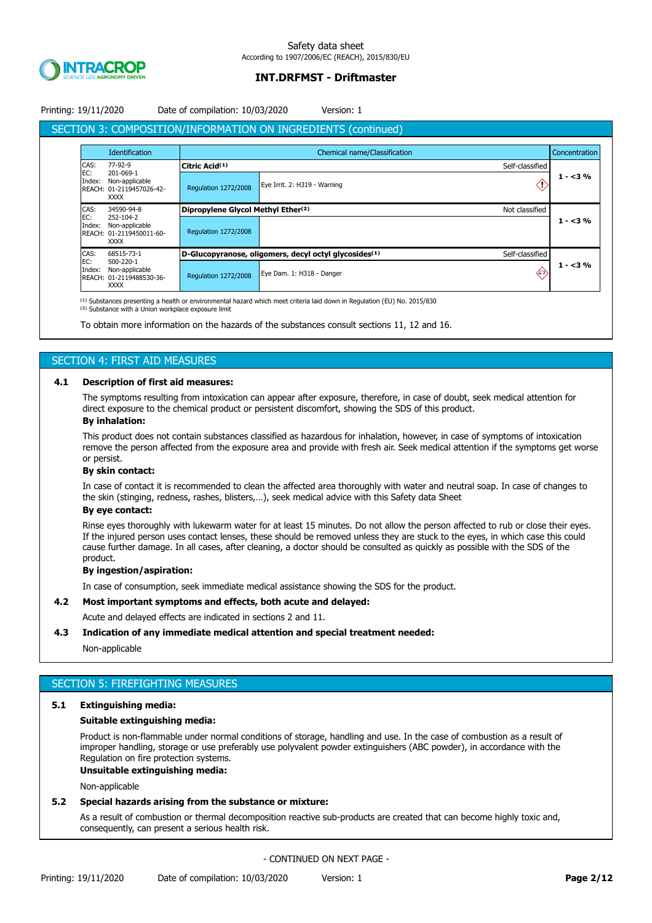

## Printing: 19/11/2020 Date of compilation: 10/03/2020 Version: 1

# SECTION 3: COMPOSITION/INFORMATION ON INGREDIENTS (continued)

|                                                                                         | Identification                                                         |                                    | Chemical name/Classification                                                         | Concentration |
|-----------------------------------------------------------------------------------------|------------------------------------------------------------------------|------------------------------------|--------------------------------------------------------------------------------------|---------------|
| CAS:                                                                                    | 77-92-9                                                                | Citric Acid(1)                     | Self-classified                                                                      |               |
| EC:<br>Index:                                                                           | 201-069-1<br>Non-applicable<br>REACH: 01-2119457026-42-<br><b>XXXX</b> | <b>Regulation 1272/2008</b>        | Eye Irrit. 2: H319 - Warning                                                         | $1 - 3%$      |
| CAS:                                                                                    | 34590-94-8                                                             | Dipropylene Glycol Methyl Ether(2) | Not classified                                                                       |               |
| EC:<br>252-104-2<br>Non-applicable<br>Index:<br>REACH: 01-2119450011-60-<br><b>XXXX</b> |                                                                        | <b>Regulation 1272/2008</b>        |                                                                                      | $1 - 3%$      |
| CAS:                                                                                    | 68515-73-1                                                             |                                    | Self-classified<br>D-Glucopyranose, oligomers, decyl octyl glycosides <sup>(1)</sup> |               |
| EC:<br>500-220-1<br>Index:<br>REACH:<br><b>XXXX</b>                                     | Non-applicable<br>01-2119488530-36-                                    | <b>Regulation 1272/2008</b>        | $\langle \cdot \rangle$<br>Eye Dam. 1: H318 - Danger                                 | $1 - 3\%$     |

<sup>(1)</sup> Substances presenting a health or environmental hazard which meet criteria laid down in Regulation (EU) No. 2015/830 <sup>(2)</sup> Substance with a Union workplace exposure limit

To obtain more information on the hazards of the substances consult sections 11, 12 and 16.

# SECTION 4: FIRST AID MEASURES

## **4.1 Description of first aid measures:**

The symptoms resulting from intoxication can appear after exposure, therefore, in case of doubt, seek medical attention for direct exposure to the chemical product or persistent discomfort, showing the SDS of this product.

## **By inhalation:**

This product does not contain substances classified as hazardous for inhalation, however, in case of symptoms of intoxication remove the person affected from the exposure area and provide with fresh air. Seek medical attention if the symptoms get worse or persist.

### **By skin contact:**

In case of contact it is recommended to clean the affected area thoroughly with water and neutral soap. In case of changes to the skin (stinging, redness, rashes, blisters,…), seek medical advice with this Safety data Sheet

### **By eye contact:**

Rinse eyes thoroughly with lukewarm water for at least 15 minutes. Do not allow the person affected to rub or close their eyes. If the injured person uses contact lenses, these should be removed unless they are stuck to the eyes, in which case this could cause further damage. In all cases, after cleaning, a doctor should be consulted as quickly as possible with the SDS of the product.

#### **By ingestion/aspiration:**

In case of consumption, seek immediate medical assistance showing the SDS for the product.

### **4.2 Most important symptoms and effects, both acute and delayed:**

Acute and delayed effects are indicated in sections 2 and 11.

### **4.3 Indication of any immediate medical attention and special treatment needed:**

Non-applicable

# SECTION 5: FIREFIGHTING MEASURES

### **5.1 Extinguishing media:**

#### **Suitable extinguishing media:**

Product is non-flammable under normal conditions of storage, handling and use. In the case of combustion as a result of improper handling, storage or use preferably use polyvalent powder extinguishers (ABC powder), in accordance with the Regulation on fire protection systems.

#### **Unsuitable extinguishing media:**

Non-applicable

#### **5.2 Special hazards arising from the substance or mixture:**

As a result of combustion or thermal decomposition reactive sub-products are created that can become highly toxic and, consequently, can present a serious health risk.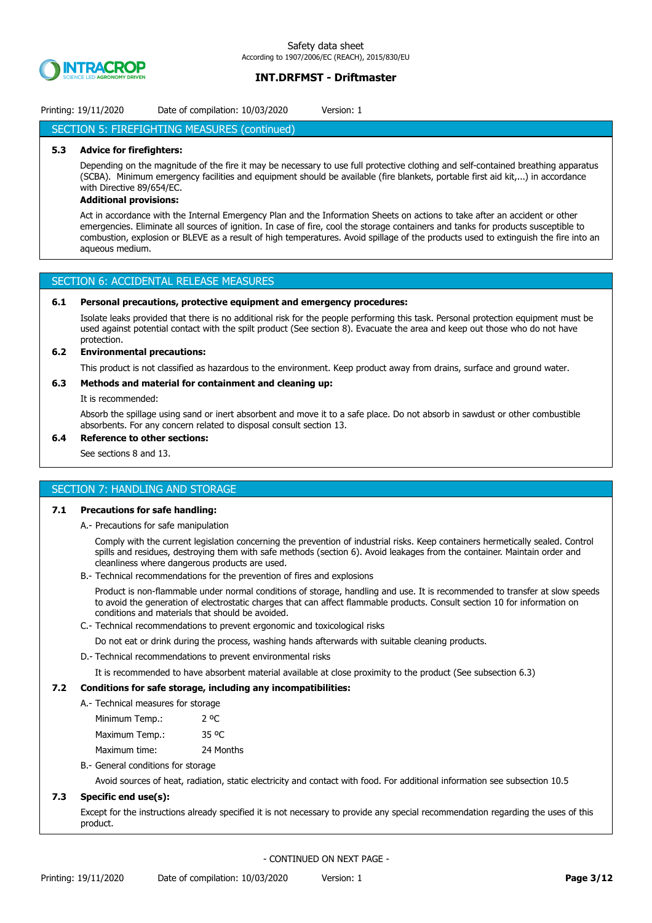

## Printing: 19/11/2020 Date of compilation: 10/03/2020 Version: 1

### SECTION 5: FIREFIGHTING MEASURES (continued)

#### **5.3 Advice for firefighters:**

Depending on the magnitude of the fire it may be necessary to use full protective clothing and self-contained breathing apparatus (SCBA). Minimum emergency facilities and equipment should be available (fire blankets, portable first aid kit,...) in accordance with Directive 89/654/EC.

### **Additional provisions:**

Act in accordance with the Internal Emergency Plan and the Information Sheets on actions to take after an accident or other emergencies. Eliminate all sources of ignition. In case of fire, cool the storage containers and tanks for products susceptible to combustion, explosion or BLEVE as a result of high temperatures. Avoid spillage of the products used to extinguish the fire into an aqueous medium.

## SECTION 6: ACCIDENTAL RELEASE MEASURES

#### **6.1 Personal precautions, protective equipment and emergency procedures:**

Isolate leaks provided that there is no additional risk for the people performing this task. Personal protection equipment must be used against potential contact with the spilt product (See section 8). Evacuate the area and keep out those who do not have protection.

### **6.2 Environmental precautions:**

This product is not classified as hazardous to the environment. Keep product away from drains, surface and ground water.

### **6.3 Methods and material for containment and cleaning up:**

It is recommended:

Absorb the spillage using sand or inert absorbent and move it to a safe place. Do not absorb in sawdust or other combustible absorbents. For any concern related to disposal consult section 13.

### **6.4 Reference to other sections:**

See sections 8 and 13.

### SECTION 7: HANDLING AND STORAGE

### **7.1 Precautions for safe handling:**

A.- Precautions for safe manipulation

Comply with the current legislation concerning the prevention of industrial risks. Keep containers hermetically sealed. Control spills and residues, destroying them with safe methods (section 6). Avoid leakages from the container. Maintain order and cleanliness where dangerous products are used.

B.- Technical recommendations for the prevention of fires and explosions

Product is non-flammable under normal conditions of storage, handling and use. It is recommended to transfer at slow speeds to avoid the generation of electrostatic charges that can affect flammable products. Consult section 10 for information on conditions and materials that should be avoided.

C.- Technical recommendations to prevent ergonomic and toxicological risks

Do not eat or drink during the process, washing hands afterwards with suitable cleaning products.

D.- Technical recommendations to prevent environmental risks

It is recommended to have absorbent material available at close proximity to the product (See subsection 6.3)

#### **7.2 Conditions for safe storage, including any incompatibilities:**

A.- Technical measures for storage

| Minimum Temp.: | 2 oC      |
|----------------|-----------|
| Maximum Temp.: | 35 °C     |
| Maximum time:  | 24 Months |

B.- General conditions for storage

Avoid sources of heat, radiation, static electricity and contact with food. For additional information see subsection 10.5

### **7.3 Specific end use(s):**

Except for the instructions already specified it is not necessary to provide any special recommendation regarding the uses of this product.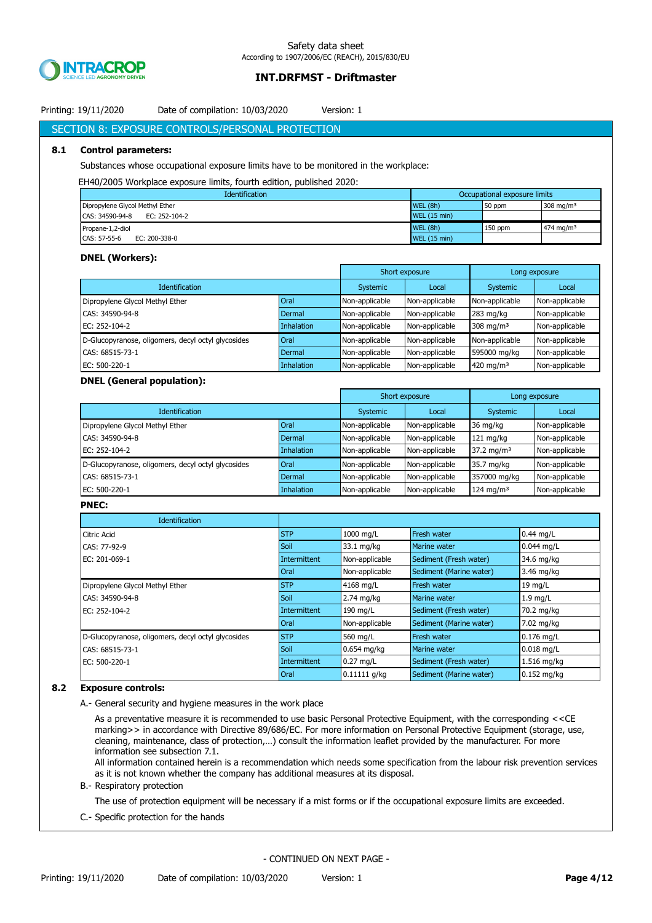

# Printing: 19/11/2020 Date of compilation: 10/03/2020 Version: 1

## SECTION 8: EXPOSURE CONTROLS/PERSONAL PROTECTION

#### **8.1 Control parameters:**

Substances whose occupational exposure limits have to be monitored in the workplace:

#### EH40/2005 Workplace exposure limits, fourth edition, published 2020:

| <b>Identification</b>            | Occupational exposure limits |         |                       |  |
|----------------------------------|------------------------------|---------|-----------------------|--|
| Dipropylene Glycol Methyl Ether  | <b>WEL (8h)</b>              | 50 ppm  | 308 mg/m $3$          |  |
| CAS: 34590-94-8<br>EC: 252-104-2 | <b>WEL (15 min)</b>          |         |                       |  |
| Propane-1,2-diol                 | <b>WEL (8h)</b>              | 150 ppm | 474 mg/m <sup>3</sup> |  |
| CAS: 57-55-6<br>EC: 200-338-0    | <b>WEL (15 min)</b>          |         |                       |  |

#### **DNEL (Workers):**

|                                                    |             | Short exposure |                | Long exposure         |                |
|----------------------------------------------------|-------------|----------------|----------------|-----------------------|----------------|
| <b>Identification</b>                              | Systemic    | Local          | Systemic       | Local                 |                |
| Dipropylene Glycol Methyl Ether                    | <b>Oral</b> | Non-applicable | Non-applicable | Non-applicable        | Non-applicable |
| CAS: 34590-94-8                                    | Dermal      | Non-applicable | Non-applicable | $283$ mg/kg           | Non-applicable |
| EC: 252-104-2                                      | Inhalation  | Non-applicable | Non-applicable | 308 mg/m <sup>3</sup> | Non-applicable |
| D-Glucopyranose, oligomers, decyl octyl glycosides | <b>Oral</b> | Non-applicable | Non-applicable | Non-applicable        | Non-applicable |
| CAS: 68515-73-1                                    | Dermal      | Non-applicable | Non-applicable | 595000 mg/kg          | Non-applicable |
| EC: 500-220-1                                      | Inhalation  | Non-applicable | Non-applicable | 420 mg/m $3$          | Non-applicable |

#### **DNEL (General population):**

|                                                    |                   | Short exposure |                 | Long exposure           |                |
|----------------------------------------------------|-------------------|----------------|-----------------|-------------------------|----------------|
| <b>Identification</b>                              | Systemic          | Local          | <b>Systemic</b> | Local                   |                |
| Dipropylene Glycol Methyl Ether                    | Oral              | Non-applicable | Non-applicable  | 36 mg/kg                | Non-applicable |
| CAS: 34590-94-8                                    | Dermal            | Non-applicable | Non-applicable  | $121$ mg/kg             | Non-applicable |
| EC: 252-104-2                                      | <b>Inhalation</b> | Non-applicable | Non-applicable  | 37.2 mg/m <sup>3</sup>  | Non-applicable |
| D-Glucopyranose, oligomers, decyl octyl glycosides | Oral              | Non-applicable | Non-applicable  | 35.7 mg/kg              | Non-applicable |
| CAS: 68515-73-1                                    | Dermal            | Non-applicable | Non-applicable  | 357000 mg/kg            | Non-applicable |
| EC: 500-220-1                                      | <b>Inhalation</b> | Non-applicable | Non-applicable  | $124$ mg/m <sup>3</sup> | Non-applicable |

#### **PNEC:**

| Identification                                     |              |                |                         |               |
|----------------------------------------------------|--------------|----------------|-------------------------|---------------|
| Citric Acid                                        | <b>STP</b>   | 1000 mg/L      | Fresh water             | $0.44$ mg/L   |
| CAS: 77-92-9                                       | Soil         | 33.1 mg/kg     | Marine water            | $0.044$ mg/L  |
| EC: 201-069-1                                      | Intermittent | Non-applicable | Sediment (Fresh water)  | 34.6 mg/kg    |
|                                                    | <b>Oral</b>  | Non-applicable | Sediment (Marine water) | 3.46 mg/kg    |
| Dipropylene Glycol Methyl Ether                    | <b>STP</b>   | 4168 mg/L      | <b>Fresh water</b>      | 19 mg/L       |
| CAS: 34590-94-8                                    | Soil         | $2.74$ mg/kg   | <b>Marine water</b>     | $1.9$ mg/L    |
| EC: 252-104-2                                      | Intermittent | 190 mg/L       | Sediment (Fresh water)  | 70.2 mg/kg    |
|                                                    | <b>Oral</b>  | Non-applicable | Sediment (Marine water) | 7.02 mg/kg    |
| D-Glucopyranose, oligomers, decyl octyl glycosides | <b>STP</b>   | 560 mg/L       | <b>Fresh water</b>      | $0.176$ mg/L  |
| CAS: 68515-73-1                                    | Soil         | $0.654$ mg/kg  | Marine water            | $0.018$ mg/L  |
| EC: 500-220-1                                      | Intermittent | $0.27$ mg/L    | Sediment (Fresh water)  | 1.516 mg/kg   |
|                                                    | <b>Oral</b>  | 0.11111 q/kg   | Sediment (Marine water) | $0.152$ mg/kg |

#### **8.2 Exposure controls:**

A.- General security and hygiene measures in the work place

As a preventative measure it is recommended to use basic Personal Protective Equipment, with the corresponding <<CE marking>> in accordance with Directive 89/686/EC. For more information on Personal Protective Equipment (storage, use, cleaning, maintenance, class of protection,…) consult the information leaflet provided by the manufacturer. For more information see subsection 7.1.

All information contained herein is a recommendation which needs some specification from the labour risk prevention services as it is not known whether the company has additional measures at its disposal.

#### B.- Respiratory protection

The use of protection equipment will be necessary if a mist forms or if the occupational exposure limits are exceeded.

C.- Specific protection for the hands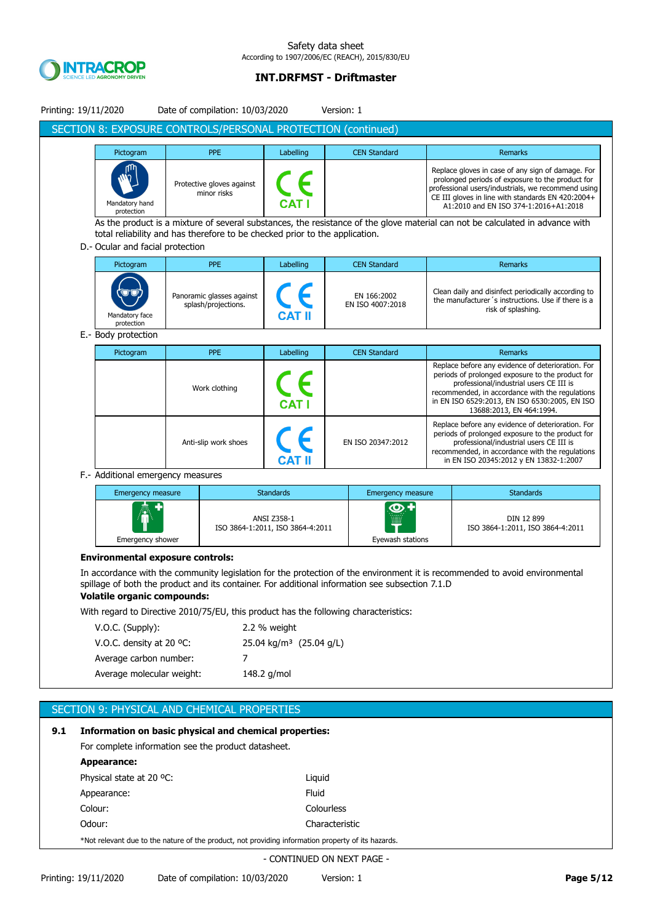

### Safety data sheet According to 1907/2006/EC (REACH), 2015/830/EU

# **INT.DRFMST - Driftmaster**

|     | Printing: 19/11/2020                                                                               |                           | Date of compilation: 10/03/2020                                             |                                                 | Version: 1                                                                                                                                                                              |                                                                                                                                                                                                                                                                                  |
|-----|----------------------------------------------------------------------------------------------------|---------------------------|-----------------------------------------------------------------------------|-------------------------------------------------|-----------------------------------------------------------------------------------------------------------------------------------------------------------------------------------------|----------------------------------------------------------------------------------------------------------------------------------------------------------------------------------------------------------------------------------------------------------------------------------|
|     |                                                                                                    |                           |                                                                             |                                                 | SECTION 8: EXPOSURE CONTROLS/PERSONAL PROTECTION (continued)                                                                                                                            |                                                                                                                                                                                                                                                                                  |
|     | Pictogram                                                                                          |                           | <b>PPE</b>                                                                  | Labelling                                       | <b>CEN Standard</b>                                                                                                                                                                     | Remarks                                                                                                                                                                                                                                                                          |
|     | Mandatory hand<br>protection                                                                       |                           | Protective gloves against<br>minor risks                                    |                                                 |                                                                                                                                                                                         | Replace gloves in case of any sign of damage. For<br>prolonged periods of exposure to the product for<br>professional users/industrials, we recommend using<br>CE III gloves in line with standards EN 420:2004+<br>A1:2010 and EN ISO 374-1:2016+A1:2018                        |
|     |                                                                                                    |                           |                                                                             |                                                 |                                                                                                                                                                                         | As the product is a mixture of several substances, the resistance of the glove material can not be calculated in advance with                                                                                                                                                    |
|     |                                                                                                    |                           | total reliability and has therefore to be checked prior to the application. |                                                 |                                                                                                                                                                                         |                                                                                                                                                                                                                                                                                  |
|     | D.- Ocular and facial protection                                                                   |                           |                                                                             |                                                 |                                                                                                                                                                                         |                                                                                                                                                                                                                                                                                  |
|     | Pictogram                                                                                          |                           | <b>PPE</b>                                                                  | Labelling                                       | <b>CEN Standard</b>                                                                                                                                                                     | Remarks                                                                                                                                                                                                                                                                          |
|     | Mandatory face<br>protection                                                                       |                           | Panoramic glasses against<br>splash/projections.                            |                                                 | EN 166:2002<br>EN ISO 4007:2018                                                                                                                                                         | Clean daily and disinfect periodically according to<br>the manufacturer's instructions. Use if there is a<br>risk of splashing.                                                                                                                                                  |
|     | E.- Body protection                                                                                |                           |                                                                             |                                                 |                                                                                                                                                                                         |                                                                                                                                                                                                                                                                                  |
|     | Pictogram                                                                                          |                           | <b>PPE</b>                                                                  | Labelling                                       | <b>CEN Standard</b>                                                                                                                                                                     | Remarks                                                                                                                                                                                                                                                                          |
|     |                                                                                                    |                           | Work clothing                                                               |                                                 |                                                                                                                                                                                         | Replace before any evidence of deterioration. For<br>periods of prolonged exposure to the product for<br>professional/industrial users CE III is<br>recommended, in accordance with the regulations<br>in EN ISO 6529:2013, EN ISO 6530:2005, EN ISO<br>13688:2013, EN 464:1994. |
|     |                                                                                                    |                           | Anti-slip work shoes                                                        | CAT II                                          | EN ISO 20347:2012                                                                                                                                                                       | Replace before any evidence of deterioration. For<br>periods of prolonged exposure to the product for<br>professional/industrial users CE III is<br>recommended, in accordance with the regulations<br>in EN ISO 20345:2012 y EN 13832-1:2007                                    |
|     | F.- Additional emergency measures                                                                  |                           |                                                                             |                                                 |                                                                                                                                                                                         |                                                                                                                                                                                                                                                                                  |
|     |                                                                                                    | <b>Emergency measure</b>  |                                                                             | <b>Standards</b>                                | <b>Emergency measure</b>                                                                                                                                                                | <b>Standards</b>                                                                                                                                                                                                                                                                 |
|     |                                                                                                    |                           |                                                                             | ANSI Z358-1<br>ISO 3864-1:2011, ISO 3864-4:2011 | Eyewash stations                                                                                                                                                                        | DIN 12 899<br>ISO 3864-1:2011, ISO 3864-4:2011                                                                                                                                                                                                                                   |
|     |                                                                                                    | Emergency shower          |                                                                             |                                                 |                                                                                                                                                                                         |                                                                                                                                                                                                                                                                                  |
|     | <b>Environmental exposure controls:</b><br><b>Volatile organic compounds:</b>                      |                           |                                                                             |                                                 | spillage of both the product and its container. For additional information see subsection 7.1.D<br>With regard to Directive 2010/75/EU, this product has the following characteristics: | In accordance with the community legislation for the protection of the environment it is recommended to avoid environmental                                                                                                                                                      |
|     | V.O.C. (Supply):                                                                                   |                           |                                                                             | 2.2 % weight                                    |                                                                                                                                                                                         |                                                                                                                                                                                                                                                                                  |
|     | V.O.C. density at 20 °C:                                                                           |                           |                                                                             | 25.04 kg/m <sup>3</sup> (25.04 g/L)             |                                                                                                                                                                                         |                                                                                                                                                                                                                                                                                  |
|     | Average carbon number:                                                                             |                           | 7                                                                           |                                                 |                                                                                                                                                                                         |                                                                                                                                                                                                                                                                                  |
|     |                                                                                                    | Average molecular weight: |                                                                             | 148.2 g/mol                                     |                                                                                                                                                                                         |                                                                                                                                                                                                                                                                                  |
|     | SECTION 9: PHYSICAL AND CHEMICAL PROPERTIES                                                        |                           |                                                                             |                                                 |                                                                                                                                                                                         |                                                                                                                                                                                                                                                                                  |
| 9.1 | Information on basic physical and chemical properties:                                             |                           |                                                                             |                                                 |                                                                                                                                                                                         |                                                                                                                                                                                                                                                                                  |
|     | For complete information see the product datasheet.                                                |                           |                                                                             |                                                 |                                                                                                                                                                                         |                                                                                                                                                                                                                                                                                  |
|     | <b>Appearance:</b>                                                                                 |                           |                                                                             |                                                 |                                                                                                                                                                                         |                                                                                                                                                                                                                                                                                  |
|     | Physical state at 20 °C:                                                                           |                           |                                                                             | Liquid                                          |                                                                                                                                                                                         |                                                                                                                                                                                                                                                                                  |
|     | Appearance:                                                                                        |                           |                                                                             | Fluid                                           |                                                                                                                                                                                         |                                                                                                                                                                                                                                                                                  |
|     | Colour:                                                                                            |                           |                                                                             |                                                 | Colourless                                                                                                                                                                              |                                                                                                                                                                                                                                                                                  |
|     | Odour:                                                                                             |                           |                                                                             |                                                 | Characteristic                                                                                                                                                                          |                                                                                                                                                                                                                                                                                  |
|     | *Not relevant due to the nature of the product, not providing information property of its hazards. |                           |                                                                             |                                                 |                                                                                                                                                                                         |                                                                                                                                                                                                                                                                                  |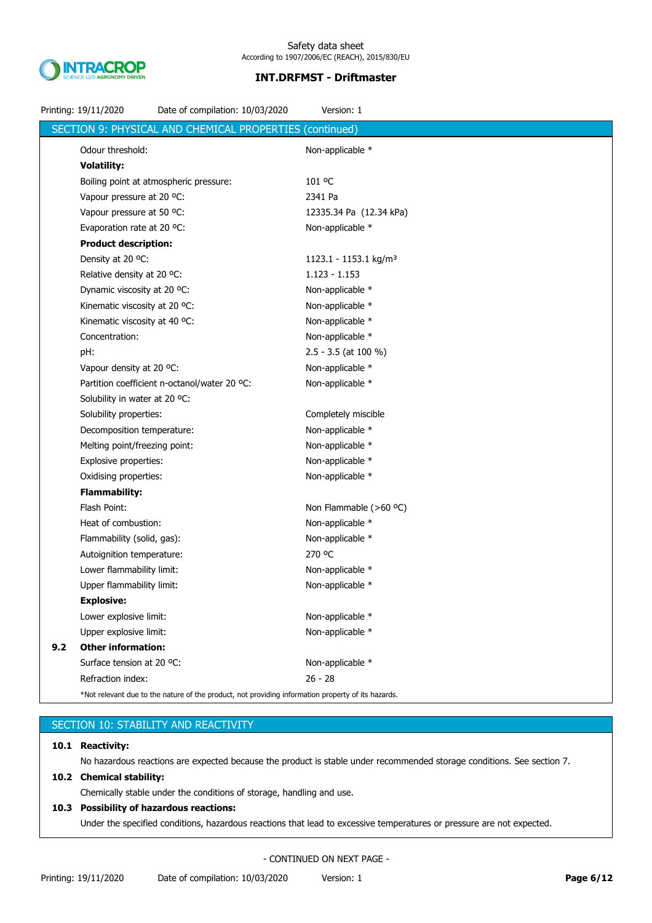

|     | Printing: 19/11/2020          | Date of compilation: 10/03/2020                                                                    | Version: 1                        |
|-----|-------------------------------|----------------------------------------------------------------------------------------------------|-----------------------------------|
|     |                               | SECTION 9: PHYSICAL AND CHEMICAL PROPERTIES                                                        | (continued)                       |
|     | Odour threshold:              |                                                                                                    | Non-applicable *                  |
|     | <b>Volatility:</b>            |                                                                                                    |                                   |
|     |                               | Boiling point at atmospheric pressure:                                                             | 101 °C                            |
|     | Vapour pressure at 20 °C:     |                                                                                                    | 2341 Pa                           |
|     | Vapour pressure at 50 °C:     |                                                                                                    | 12335.34 Pa (12.34 kPa)           |
|     | Evaporation rate at 20 °C:    |                                                                                                    | Non-applicable *                  |
|     | <b>Product description:</b>   |                                                                                                    |                                   |
|     | Density at 20 °C:             |                                                                                                    | 1123.1 - 1153.1 kg/m <sup>3</sup> |
|     | Relative density at 20 °C:    |                                                                                                    | $1.123 - 1.153$                   |
|     | Dynamic viscosity at 20 °C:   |                                                                                                    | Non-applicable *                  |
|     | Kinematic viscosity at 20 °C: |                                                                                                    | Non-applicable *                  |
|     | Kinematic viscosity at 40 °C: |                                                                                                    | Non-applicable *                  |
|     | Concentration:                |                                                                                                    | Non-applicable *                  |
|     | pH:                           |                                                                                                    | $2.5 - 3.5$ (at 100 %)            |
|     | Vapour density at 20 °C:      |                                                                                                    | Non-applicable *                  |
|     |                               | Partition coefficient n-octanol/water 20 °C:                                                       | Non-applicable *                  |
|     | Solubility in water at 20 °C: |                                                                                                    |                                   |
|     | Solubility properties:        |                                                                                                    | Completely miscible               |
|     | Decomposition temperature:    |                                                                                                    | Non-applicable *                  |
|     | Melting point/freezing point: |                                                                                                    | Non-applicable *                  |
|     | Explosive properties:         |                                                                                                    | Non-applicable *                  |
|     | Oxidising properties:         |                                                                                                    | Non-applicable *                  |
|     | <b>Flammability:</b>          |                                                                                                    |                                   |
|     | Flash Point:                  |                                                                                                    | Non Flammable (>60 °C)            |
|     | Heat of combustion:           |                                                                                                    | Non-applicable *                  |
|     | Flammability (solid, gas):    |                                                                                                    | Non-applicable *                  |
|     | Autoignition temperature:     |                                                                                                    | 270 °C                            |
|     | Lower flammability limit:     |                                                                                                    | Non-applicable *                  |
|     | Upper flammability limit:     |                                                                                                    | Non-applicable *                  |
|     | <b>Explosive:</b>             |                                                                                                    |                                   |
|     | Lower explosive limit:        |                                                                                                    | Non-applicable *                  |
|     | Upper explosive limit:        |                                                                                                    | Non-applicable *                  |
| 9.2 | <b>Other information:</b>     |                                                                                                    |                                   |
|     | Surface tension at 20 °C:     |                                                                                                    | Non-applicable *                  |
|     | Refraction index:             |                                                                                                    | $26 - 28$                         |
|     |                               | *Not relevant due to the nature of the product, not providing information property of its hazards. |                                   |

# SECTION 10: STABILITY AND REACTIVITY

## **10.1 Reactivity:**

No hazardous reactions are expected because the product is stable under recommended storage conditions. See section 7.

# **10.2 Chemical stability:**

Chemically stable under the conditions of storage, handling and use.

# **10.3 Possibility of hazardous reactions:**

Under the specified conditions, hazardous reactions that lead to excessive temperatures or pressure are not expected.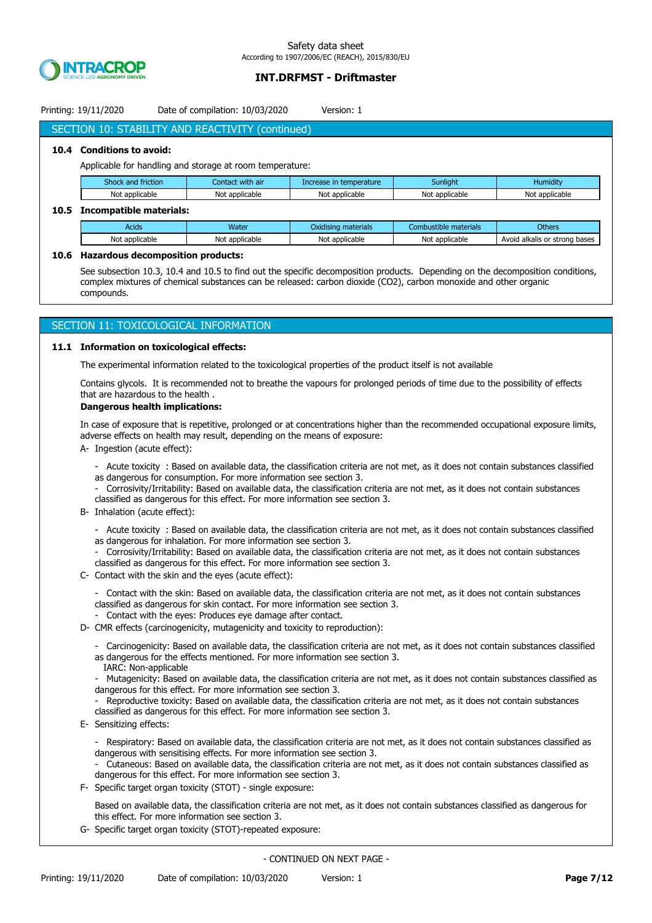

Printing: 19/11/2020 Date of compilation: 10/03/2020 Version: 1

# SECTION 10: STABILITY AND REACTIVITY (continued)

### **10.4 Conditions to avoid:**

Applicable for handling and storage at room temperature:

| Shock and friction | Contact with air | Increase in temperature | Sunliaht       | Humidity <sup>'</sup> |
|--------------------|------------------|-------------------------|----------------|-----------------------|
| Not applicable     | Not applicable   | Not applicable          | Not applicable | Not applicable        |

### **10.5 Incompatible materials:**

| Acids          | <b>Water</b>        | .<br>materials<br>Oxidisina | materials<br>Combustible | <b>Others</b>                    |
|----------------|---------------------|-----------------------------|--------------------------|----------------------------------|
| Not applicable | : applicable<br>Not | Not applicable              | Not<br>t applicable      | Avoid alkalis or strong<br>bases |

### **10.6 Hazardous decomposition products:**

See subsection 10.3, 10.4 and 10.5 to find out the specific decomposition products. Depending on the decomposition conditions, complex mixtures of chemical substances can be released: carbon dioxide (CO2), carbon monoxide and other organic compounds.

### SECTION 11: TOXICOLOGICAL INFORMATION

#### **11.1 Information on toxicological effects:**

The experimental information related to the toxicological properties of the product itself is not available

Contains glycols. It is recommended not to breathe the vapours for prolonged periods of time due to the possibility of effects that are hazardous to the health .

### **Dangerous health implications:**

In case of exposure that is repetitive, prolonged or at concentrations higher than the recommended occupational exposure limits, adverse effects on health may result, depending on the means of exposure:

- A- Ingestion (acute effect):
	- Acute toxicity : Based on available data, the classification criteria are not met, as it does not contain substances classified as dangerous for consumption. For more information see section 3.
	- Corrosivity/Irritability: Based on available data, the classification criteria are not met, as it does not contain substances classified as dangerous for this effect. For more information see section 3.
- B- Inhalation (acute effect):
	- Acute toxicity : Based on available data, the classification criteria are not met, as it does not contain substances classified as dangerous for inhalation. For more information see section 3.
	- Corrosivity/Irritability: Based on available data, the classification criteria are not met, as it does not contain substances classified as dangerous for this effect. For more information see section 3.
- C- Contact with the skin and the eyes (acute effect):
	- Contact with the skin: Based on available data, the classification criteria are not met, as it does not contain substances classified as dangerous for skin contact. For more information see section 3.
	- Contact with the eyes: Produces eye damage after contact.
- D- CMR effects (carcinogenicity, mutagenicity and toxicity to reproduction):
	- Carcinogenicity: Based on available data, the classification criteria are not met, as it does not contain substances classified as dangerous for the effects mentioned. For more information see section 3.
	- IARC: Non-applicable
	- Mutagenicity: Based on available data, the classification criteria are not met, as it does not contain substances classified as dangerous for this effect. For more information see section 3.
	- Reproductive toxicity: Based on available data, the classification criteria are not met, as it does not contain substances classified as dangerous for this effect. For more information see section 3.
- E- Sensitizing effects:
	- Respiratory: Based on available data, the classification criteria are not met, as it does not contain substances classified as dangerous with sensitising effects. For more information see section 3.
	- Cutaneous: Based on available data, the classification criteria are not met, as it does not contain substances classified as dangerous for this effect. For more information see section 3.
- F- Specific target organ toxicity (STOT) single exposure:
	- Based on available data, the classification criteria are not met, as it does not contain substances classified as dangerous for this effect. For more information see section 3.
- G- Specific target organ toxicity (STOT)-repeated exposure: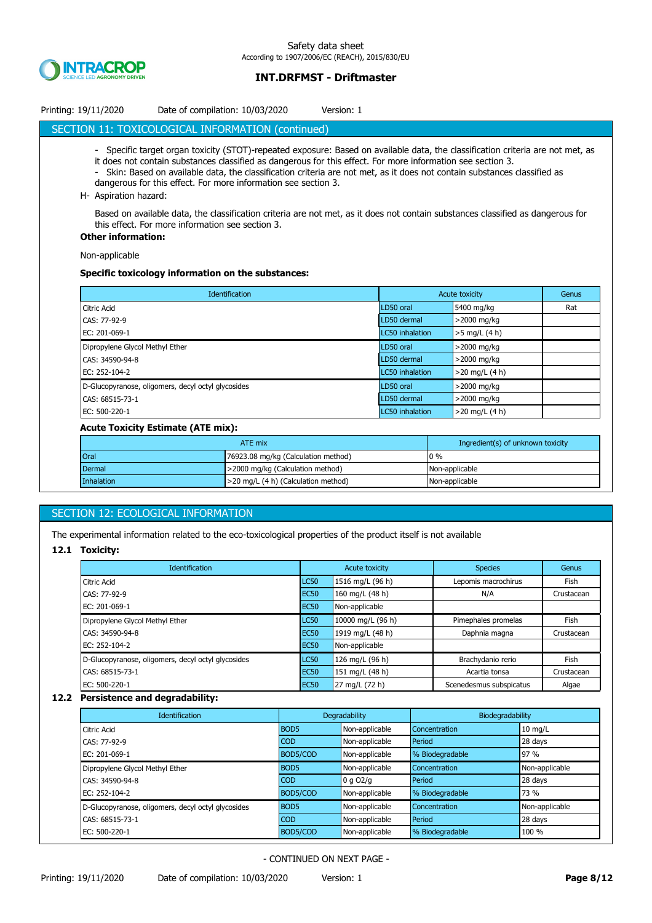

| Printing: 19/11/2020 | Date of compilation: 10/03/2020 | Version: 1 |
|----------------------|---------------------------------|------------|
|----------------------|---------------------------------|------------|

## SECTION 11: TOXICOLOGICAL INFORMATION (continued)

- Specific target organ toxicity (STOT)-repeated exposure: Based on available data, the classification criteria are not met, as
- it does not contain substances classified as dangerous for this effect. For more information see section 3. - Skin: Based on available data, the classification criteria are not met, as it does not contain substances classified as
- dangerous for this effect. For more information see section 3.
- H- Aspiration hazard:

Based on available data, the classification criteria are not met, as it does not contain substances classified as dangerous for this effect. For more information see section 3.

#### **Other information:**

Non-applicable

#### **Specific toxicology information on the substances:**

| <b>Identification</b>                              | <b>Acute toxicity</b> |                  | Genus |
|----------------------------------------------------|-----------------------|------------------|-------|
| Citric Acid                                        | LD50 oral             | 5400 mg/kg       | Rat   |
| CAS: 77-92-9                                       | LD50 dermal           | >2000 mg/kg      |       |
| EC: 201-069-1                                      | LC50 inhalation       | $>5$ mg/L (4 h)  |       |
| Dipropylene Glycol Methyl Ether                    | LD50 oral             | $>$ 2000 mg/kg   |       |
| CAS: 34590-94-8                                    | LD50 dermal           | $>$ 2000 mg/kg   |       |
| EC: 252-104-2                                      | LC50 inhalation       | $>20$ mg/L (4 h) |       |
| D-Glucopyranose, oligomers, decyl octyl glycosides | LD50 oral             | $>$ 2000 mg/kg   |       |
| CAS: 68515-73-1                                    | LD50 dermal           | >2000 mg/kg      |       |
| EC: 500-220-1                                      | LC50 inhalation       | $>20$ mg/L (4 h) |       |

### **Acute Toxicity Estimate (ATE mix):**

| ATE mix       |                                     | Ingredient(s) of unknown toxicity |
|---------------|-------------------------------------|-----------------------------------|
| Oral          | 76923.08 mg/kg (Calculation method) | $0\%$                             |
| <b>Dermal</b> | >2000 mg/kg (Calculation method)    | Non-applicable                    |
| Inhalation    | >20 mg/L (4 h) (Calculation method) | Non-applicable                    |

### SECTION 12: ECOLOGICAL INFORMATION

The experimental information related to the eco-toxicological properties of the product itself is not available

#### **12.1 Toxicity:**

| <b>Identification</b>                              | Acute toxicity   |                   | <b>Species</b>          | Genus      |
|----------------------------------------------------|------------------|-------------------|-------------------------|------------|
| Citric Acid                                        | LC50             | 1516 mg/L (96 h)  | Lepomis macrochirus     | Fish       |
| CAS: 77-92-9                                       | <b>EC50</b>      | 160 mg/L (48 h)   | N/A                     | Crustacean |
| EC: 201-069-1                                      | EC <sub>50</sub> | Non-applicable    |                         |            |
| Dipropylene Glycol Methyl Ether                    | LC50             | 10000 mg/L (96 h) | Pimephales promelas     | Fish       |
| CAS: 34590-94-8                                    | EC <sub>50</sub> | 1919 mg/L (48 h)  | Daphnia magna           | Crustacean |
| EC: 252-104-2                                      | EC <sub>50</sub> | Non-applicable    |                         |            |
| D-Glucopyranose, oligomers, decyl octyl glycosides | LC50             | 126 mg/L (96 h)   | Brachydanio rerio       | Fish       |
| CAS: 68515-73-1                                    | <b>EC50</b>      | 151 mg/L (48 h)   | Acartia tonsa           | Crustacean |
| EC: 500-220-1                                      | <b>EC50</b>      | 27 mg/L (72 h)    | Scenedesmus subspicatus | Algae      |

#### **12.2 Persistence and degradability:**

| <b>Identification</b>                              | Degradability    |                | Biodegradability |                |
|----------------------------------------------------|------------------|----------------|------------------|----------------|
| Citric Acid                                        | BOD <sub>5</sub> | Non-applicable | Concentration    | $10$ mg/L      |
| CAS: 77-92-9                                       | <b>COD</b>       | Non-applicable | Period           | 28 days        |
| EC: 201-069-1                                      | BOD5/COD         | Non-applicable | % Biodegradable  | 97 %           |
| Dipropylene Glycol Methyl Ether                    | BOD <sub>5</sub> | Non-applicable | Concentration    | Non-applicable |
| CAS: 34590-94-8                                    | <b>COD</b>       | 0 q O2/q       | Period           | 28 days        |
| EC: 252-104-2                                      | BOD5/COD         | Non-applicable | % Biodegradable  | 73 %           |
| D-Glucopyranose, oligomers, decyl octyl glycosides | BOD <sub>5</sub> | Non-applicable | Concentration    | Non-applicable |
| CAS: 68515-73-1                                    | <b>COD</b>       | Non-applicable | Period           | 28 days        |
| EC: 500-220-1                                      | BOD5/COD         | Non-applicable | % Biodegradable  | 100 %          |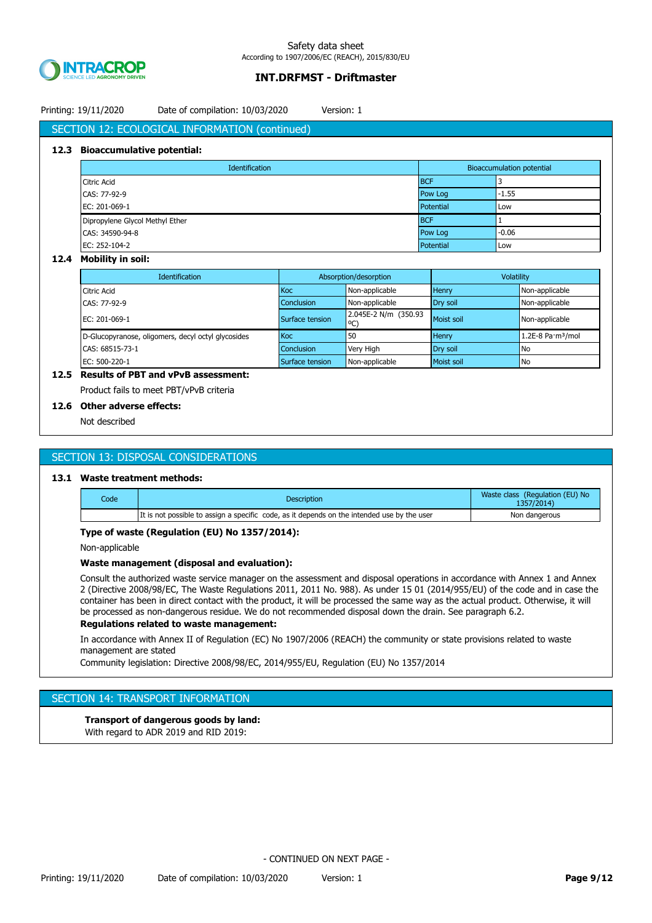

# Printing: 19/11/2020 Date of compilation: 10/03/2020 Version: 1

# SECTION 12: ECOLOGICAL INFORMATION (continued)

#### **12.3 Bioaccumulative potential:**

| Identification                  | <b>Bioaccumulation potential</b> |         |
|---------------------------------|----------------------------------|---------|
| <b>Citric Acid</b>              | <b>BCF</b>                       |         |
| CAS: 77-92-9                    | Pow Log                          | $-1.55$ |
| EC: 201-069-1                   | Potential                        | Low     |
| Dipropylene Glycol Methyl Ether | <b>BCF</b>                       |         |
| CAS: 34590-94-8                 | Pow Log                          | $-0.06$ |
| EC: 252-104-2                   | Potential                        | Low     |

#### **12.4 Mobility in soil:**

| <b>Identification</b>                              | Absorption/desorption |                            | Volatility |                                         |
|----------------------------------------------------|-----------------------|----------------------------|------------|-----------------------------------------|
| <b>Citric Acid</b>                                 | <b>Koc</b>            | Non-applicable             | Henry      | Non-applicable                          |
| CAS: 77-92-9                                       | <b>Conclusion</b>     | Non-applicable             | Dry soil   | Non-applicable                          |
| EC: 201-069-1                                      | Surface tension       | 2.045E-2 N/m (350.93<br>°C | Moist soil | Non-applicable                          |
| D-Glucopyranose, oligomers, decyl octyl glycosides | Koc                   | 50                         | Henry      | $1.2E-8$ Pa $\cdot$ m <sup>3</sup> /mol |
| CAS: 68515-73-1                                    | <b>Conclusion</b>     | Very High                  | Dry soil   | No                                      |
| EC: 500-220-1                                      | Surface tension       | Non-applicable             | Moist soil | No                                      |

# **12.5 Results of PBT and vPvB assessment:**

Product fails to meet PBT/vPvB criteria

### **12.6 Other adverse effects:**

Not described

# SECTION 13: DISPOSAL CONSIDERATIONS

## **13.1 Waste treatment methods:**

| Code | <b>Description</b>                                                                          | Waste class (Regulation (EU) No<br>1357/2014) |
|------|---------------------------------------------------------------------------------------------|-----------------------------------------------|
|      | It is not possible to assign a specific code, as it depends on the intended use by the user | Non dangerous                                 |

#### **Type of waste (Regulation (EU) No 1357/2014):**

Non-applicable

#### **Waste management (disposal and evaluation):**

Consult the authorized waste service manager on the assessment and disposal operations in accordance with Annex 1 and Annex 2 (Directive 2008/98/EC, The Waste Regulations 2011, 2011 No. 988). As under 15 01 (2014/955/EU) of the code and in case the container has been in direct contact with the product, it will be processed the same way as the actual product. Otherwise, it will be processed as non-dangerous residue. We do not recommended disposal down the drain. See paragraph 6.2.

#### **Regulations related to waste management:**

In accordance with Annex II of Regulation (EC) No 1907/2006 (REACH) the community or state provisions related to waste management are stated

Community legislation: Directive 2008/98/EC, 2014/955/EU, Regulation (EU) No 1357/2014

# SECTION 14: TRANSPORT INFORMATION

## **Transport of dangerous goods by land:**

With regard to ADR 2019 and RID 2019: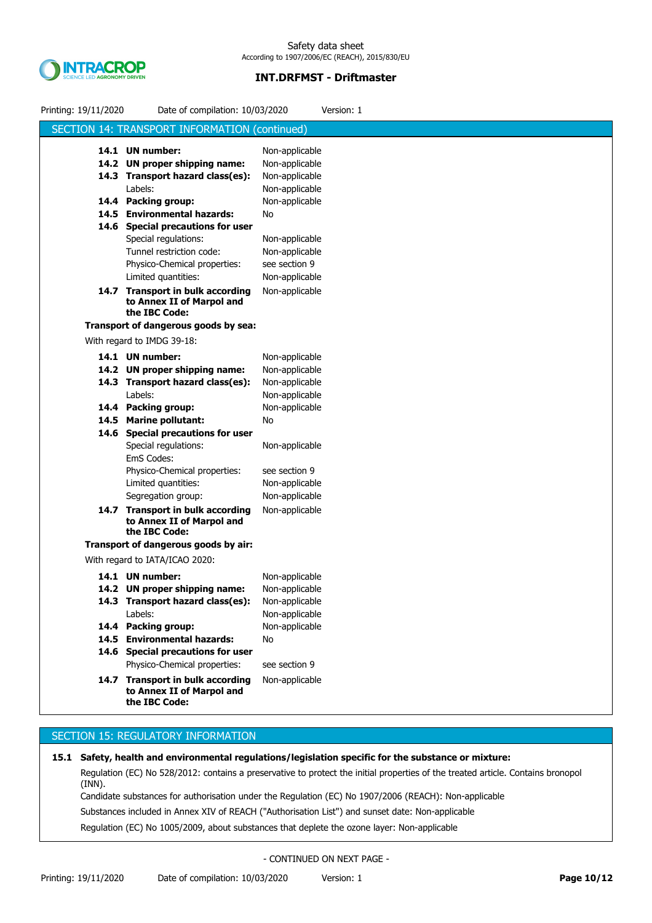

| Printing: 19/11/2020 | Date of compilation: 10/03/2020                                                | Version: 1                       |
|----------------------|--------------------------------------------------------------------------------|----------------------------------|
|                      | SECTION 14: TRANSPORT INFORMATION (continued)                                  |                                  |
|                      | 14.1 UN number:                                                                | Non-applicable                   |
|                      | 14.2 UN proper shipping name:                                                  | Non-applicable                   |
|                      | 14.3 Transport hazard class(es):                                               | Non-applicable                   |
|                      | Labels:                                                                        | Non-applicable                   |
|                      | 14.4 Packing group:                                                            | Non-applicable                   |
|                      | 14.5 Environmental hazards:                                                    | No                               |
|                      | 14.6 Special precautions for user                                              |                                  |
|                      | Special regulations:                                                           | Non-applicable                   |
|                      | Tunnel restriction code:                                                       | Non-applicable                   |
|                      | Physico-Chemical properties:                                                   | see section 9                    |
|                      | Limited quantities:                                                            | Non-applicable                   |
|                      | 14.7 Transport in bulk according<br>to Annex II of Marpol and                  | Non-applicable                   |
|                      | the IBC Code:<br>Transport of dangerous goods by sea:                          |                                  |
|                      | With regard to IMDG 39-18:                                                     |                                  |
|                      |                                                                                |                                  |
|                      | 14.1 UN number:                                                                | Non-applicable                   |
|                      | 14.2 UN proper shipping name:                                                  | Non-applicable                   |
|                      | 14.3 Transport hazard class(es):<br>Labels:                                    | Non-applicable                   |
|                      |                                                                                | Non-applicable<br>Non-applicable |
|                      | 14.4 Packing group:<br>14.5 Marine pollutant:                                  | No                               |
|                      | 14.6 Special precautions for user                                              |                                  |
|                      | Special regulations:                                                           | Non-applicable                   |
|                      | EmS Codes:                                                                     |                                  |
|                      | Physico-Chemical properties:                                                   | see section 9                    |
|                      | Limited quantities:                                                            | Non-applicable                   |
|                      | Segregation group:                                                             | Non-applicable                   |
|                      | 14.7 Transport in bulk according<br>to Annex II of Marpol and<br>the IBC Code: | Non-applicable                   |
|                      | Transport of dangerous goods by air:                                           |                                  |
|                      | With regard to IATA/ICAO 2020:                                                 |                                  |
|                      | 14.1 UN number:                                                                | Non-applicable                   |
|                      | 14.2 UN proper shipping name:                                                  | Non-applicable                   |
|                      | 14.3 Transport hazard class(es):                                               | Non-applicable                   |
|                      | Labels:                                                                        | Non-applicable                   |
|                      | 14.4 Packing group:                                                            | Non-applicable                   |
|                      | 14.5 Environmental hazards:                                                    | No                               |
|                      | 14.6 Special precautions for user                                              |                                  |
|                      | Physico-Chemical properties:                                                   | see section 9                    |
|                      | 14.7 Transport in bulk according<br>to Annex II of Marpol and<br>the IBC Code: | Non-applicable                   |
|                      |                                                                                |                                  |

# SECTION 15: REGULATORY INFORMATION

Regulation (EC) No 528/2012: contains a preservative to protect the initial properties of the treated article. Contains bronopol (INN). Candidate substances for authorisation under the Regulation (EC) No 1907/2006 (REACH): Non-applicable Substances included in Annex XIV of REACH ("Authorisation List") and sunset date: Non-applicable Regulation (EC) No 1005/2009, about substances that deplete the ozone layer: Non-applicable **15.1 Safety, health and environmental regulations/legislation specific for the substance or mixture:**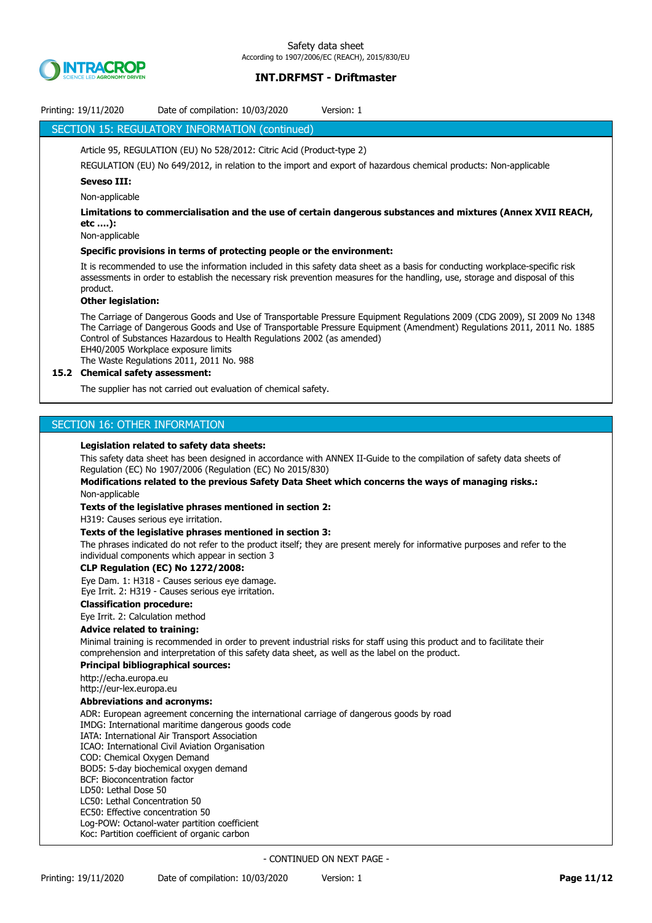

| SECTION 15: REGULATORY INFORMATION (continued)<br>Article 95, REGULATION (EU) No 528/2012: Citric Acid (Product-type 2)<br>REGULATION (EU) No 649/2012, in relation to the import and export of hazardous chemical products: Non-applicable<br><b>Seveso III:</b><br>Non-applicable<br>Limitations to commercialisation and the use of certain dangerous substances and mixtures (Annex XVII REACH,<br>etc ):<br>Non-applicable<br>Specific provisions in terms of protecting people or the environment: |  |
|----------------------------------------------------------------------------------------------------------------------------------------------------------------------------------------------------------------------------------------------------------------------------------------------------------------------------------------------------------------------------------------------------------------------------------------------------------------------------------------------------------|--|
|                                                                                                                                                                                                                                                                                                                                                                                                                                                                                                          |  |
|                                                                                                                                                                                                                                                                                                                                                                                                                                                                                                          |  |
|                                                                                                                                                                                                                                                                                                                                                                                                                                                                                                          |  |
|                                                                                                                                                                                                                                                                                                                                                                                                                                                                                                          |  |
|                                                                                                                                                                                                                                                                                                                                                                                                                                                                                                          |  |
|                                                                                                                                                                                                                                                                                                                                                                                                                                                                                                          |  |
|                                                                                                                                                                                                                                                                                                                                                                                                                                                                                                          |  |
|                                                                                                                                                                                                                                                                                                                                                                                                                                                                                                          |  |
|                                                                                                                                                                                                                                                                                                                                                                                                                                                                                                          |  |
| It is recommended to use the information included in this safety data sheet as a basis for conducting workplace-specific risk<br>assessments in order to establish the necessary risk prevention measures for the handling, use, storage and disposal of this<br>product.<br><b>Other legislation:</b>                                                                                                                                                                                                   |  |
| The Carriage of Dangerous Goods and Use of Transportable Pressure Equipment Regulations 2009 (CDG 2009), SI 2009 No 1348                                                                                                                                                                                                                                                                                                                                                                                 |  |
| The Carriage of Dangerous Goods and Use of Transportable Pressure Equipment (Amendment) Regulations 2011, 2011 No. 1885<br>Control of Substances Hazardous to Health Regulations 2002 (as amended)<br>EH40/2005 Workplace exposure limits<br>The Waste Regulations 2011, 2011 No. 988                                                                                                                                                                                                                    |  |
| 15.2 Chemical safety assessment:                                                                                                                                                                                                                                                                                                                                                                                                                                                                         |  |
| The supplier has not carried out evaluation of chemical safety.                                                                                                                                                                                                                                                                                                                                                                                                                                          |  |
|                                                                                                                                                                                                                                                                                                                                                                                                                                                                                                          |  |
| SECTION 16: OTHER INFORMATION                                                                                                                                                                                                                                                                                                                                                                                                                                                                            |  |
|                                                                                                                                                                                                                                                                                                                                                                                                                                                                                                          |  |
| Legislation related to safety data sheets:                                                                                                                                                                                                                                                                                                                                                                                                                                                               |  |
| This safety data sheet has been designed in accordance with ANNEX II-Guide to the compilation of safety data sheets of<br>Regulation (EC) No 1907/2006 (Regulation (EC) No 2015/830)                                                                                                                                                                                                                                                                                                                     |  |
| Modifications related to the previous Safety Data Sheet which concerns the ways of managing risks.:                                                                                                                                                                                                                                                                                                                                                                                                      |  |
| Non-applicable                                                                                                                                                                                                                                                                                                                                                                                                                                                                                           |  |
| Texts of the legislative phrases mentioned in section 2:                                                                                                                                                                                                                                                                                                                                                                                                                                                 |  |
| H319: Causes serious eye irritation.                                                                                                                                                                                                                                                                                                                                                                                                                                                                     |  |
| Texts of the legislative phrases mentioned in section 3:                                                                                                                                                                                                                                                                                                                                                                                                                                                 |  |
| The phrases indicated do not refer to the product itself; they are present merely for informative purposes and refer to the<br>individual components which appear in section 3                                                                                                                                                                                                                                                                                                                           |  |
| <b>CLP Regulation (EC) No 1272/2008:</b>                                                                                                                                                                                                                                                                                                                                                                                                                                                                 |  |
| Eye Dam. 1: H318 - Causes serious eye damage.                                                                                                                                                                                                                                                                                                                                                                                                                                                            |  |
| Eye Irrit. 2: H319 - Causes serious eye irritation.                                                                                                                                                                                                                                                                                                                                                                                                                                                      |  |
| <b>Classification procedure:</b>                                                                                                                                                                                                                                                                                                                                                                                                                                                                         |  |
| Eye Irrit. 2: Calculation method<br><b>Advice related to training:</b>                                                                                                                                                                                                                                                                                                                                                                                                                                   |  |
| Minimal training is recommended in order to prevent industrial risks for staff using this product and to facilitate their<br>comprehension and interpretation of this safety data sheet, as well as the label on the product.<br><b>Principal bibliographical sources:</b>                                                                                                                                                                                                                               |  |
| http://echa.europa.eu                                                                                                                                                                                                                                                                                                                                                                                                                                                                                    |  |
| http://eur-lex.europa.eu<br><b>Abbreviations and acronyms:</b>                                                                                                                                                                                                                                                                                                                                                                                                                                           |  |
| ADR: European agreement concerning the international carriage of dangerous goods by road                                                                                                                                                                                                                                                                                                                                                                                                                 |  |
| IMDG: International maritime dangerous goods code                                                                                                                                                                                                                                                                                                                                                                                                                                                        |  |
| IATA: International Air Transport Association                                                                                                                                                                                                                                                                                                                                                                                                                                                            |  |
| ICAO: International Civil Aviation Organisation<br>COD: Chemical Oxygen Demand                                                                                                                                                                                                                                                                                                                                                                                                                           |  |
| BOD5: 5-day biochemical oxygen demand                                                                                                                                                                                                                                                                                                                                                                                                                                                                    |  |
| BCF: Bioconcentration factor                                                                                                                                                                                                                                                                                                                                                                                                                                                                             |  |
| LD50: Lethal Dose 50                                                                                                                                                                                                                                                                                                                                                                                                                                                                                     |  |
| LC50: Lethal Concentration 50<br>EC50: Effective concentration 50                                                                                                                                                                                                                                                                                                                                                                                                                                        |  |
| Log-POW: Octanol-water partition coefficient                                                                                                                                                                                                                                                                                                                                                                                                                                                             |  |
| Koc: Partition coefficient of organic carbon                                                                                                                                                                                                                                                                                                                                                                                                                                                             |  |